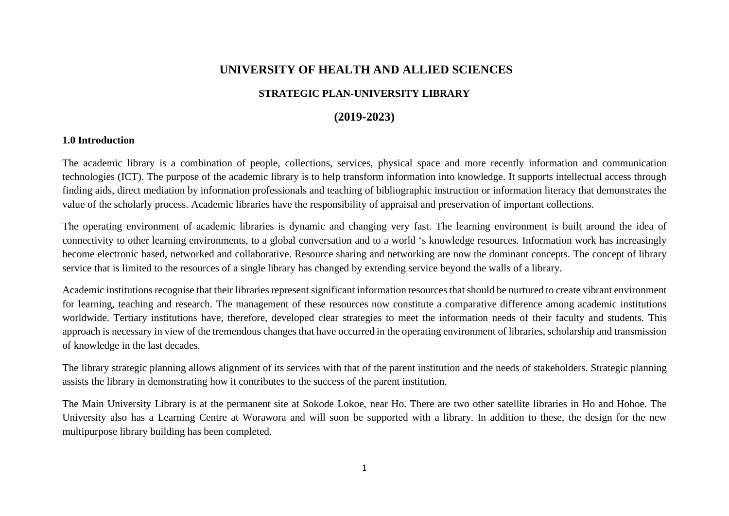## **UNIVERSITY OF HEALTH AND ALLIED SCIENCES**

### **STRATEGIC PLAN-UNIVERSITY LIBRARY**

### **(2019-2023)**

#### **1.0 Introduction**

The academic library is a combination of people, collections, services, physical space and more recently information and communication technologies (ICT). The purpose of the academic library is to help transform information into knowledge. It supports intellectual access through finding aids, direct mediation by information professionals and teaching of bibliographic instruction or information literacy that demonstrates the value of the scholarly process. Academic libraries have the responsibility of appraisal and preservation of important collections.

The operating environment of academic libraries is dynamic and changing very fast. The learning environment is built around the idea of connectivity to other learning environments, to a global conversation and to a world 's knowledge resources. Information work has increasingly become electronic based, networked and collaborative. Resource sharing and networking are now the dominant concepts. The concept of library service that is limited to the resources of a single library has changed by extending service beyond the walls of a library.

Academic institutions recognise that their libraries represent significant information resources that should be nurtured to create vibrant environment for learning, teaching and research. The management of these resources now constitute a comparative difference among academic institutions worldwide. Tertiary institutions have, therefore, developed clear strategies to meet the information needs of their faculty and students. This approach is necessary in view of the tremendous changes that have occurred in the operating environment of libraries, scholarship and transmission of knowledge in the last decades.

The library strategic planning allows alignment of its services with that of the parent institution and the needs of stakeholders. Strategic planning assists the library in demonstrating how it contributes to the success of the parent institution.

The Main University Library is at the permanent site at Sokode Lokoe, near Ho. There are two other satellite libraries in Ho and Hohoe. The University also has a Learning Centre at Worawora and will soon be supported with a library. In addition to these, the design for the new multipurpose library building has been completed.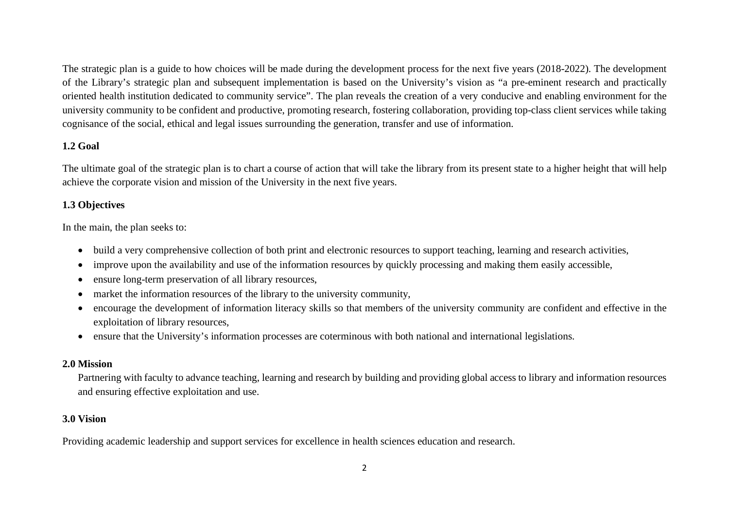The strategic plan is a guide to how choices will be made during the development process for the next five years (2018-2022). The development of the Library's strategic plan and subsequent implementation is based on the University's vision as "a pre-eminent research and practically oriented health institution dedicated to community service". The plan reveals the creation of a very conducive and enabling environment for the university community to be confident and productive, promoting research, fostering collaboration, providing top-class client services while taking cognisance of the social, ethical and legal issues surrounding the generation, transfer and use of information.

#### **1.2 Goal**

The ultimate goal of the strategic plan is to chart a course of action that will take the library from its present state to a higher height that will help achieve the corporate vision and mission of the University in the next five years.

#### **1.3 Objectives**

In the main, the plan seeks to:

- build a very comprehensive collection of both print and electronic resources to support teaching, learning and research activities,
- improve upon the availability and use of the information resources by quickly processing and making them easily accessible,
- ensure long-term preservation of all library resources,
- market the information resources of the library to the university community,
- encourage the development of information literacy skills so that members of the university community are confident and effective in the exploitation of library resources,
- ensure that the University's information processes are coterminous with both national and international legislations.

#### **2.0 Mission**

Partnering with faculty to advance teaching, learning and research by building and providing global access to library and information resources and ensuring effective exploitation and use.

#### **3.0 Vision**

Providing academic leadership and support services for excellence in health sciences education and research.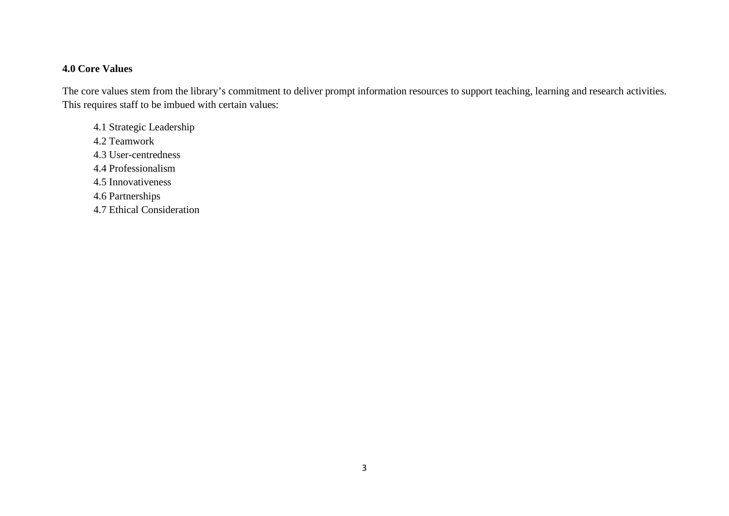### **4.0 Core Values**

The core values stem from the library's commitment to deliver prompt information resources to support teaching, learning and research activities. This requires staff to be imbued with certain values:

4.1 Strategic Leadership 4.2 Teamwork 4.3 User-centredness 4.4 Professionalism 4.5 Innovativeness 4.6 Partnerships 4.7 Ethical Consideration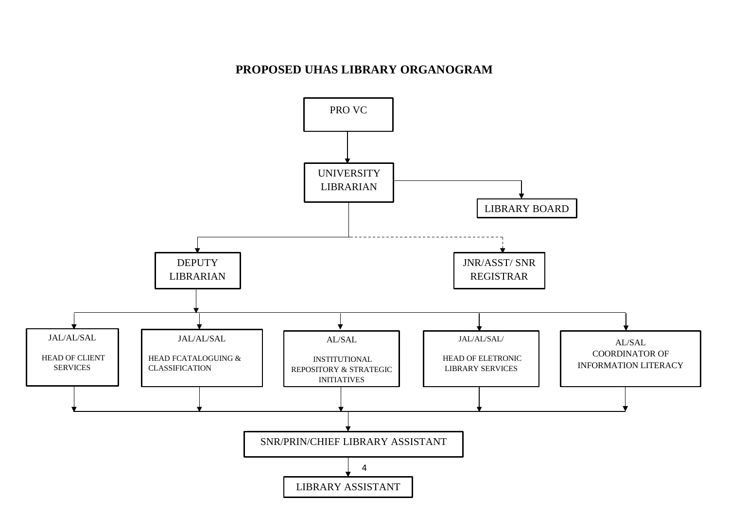## **PROPOSED UHAS LIBRARY ORGANOGRAM**

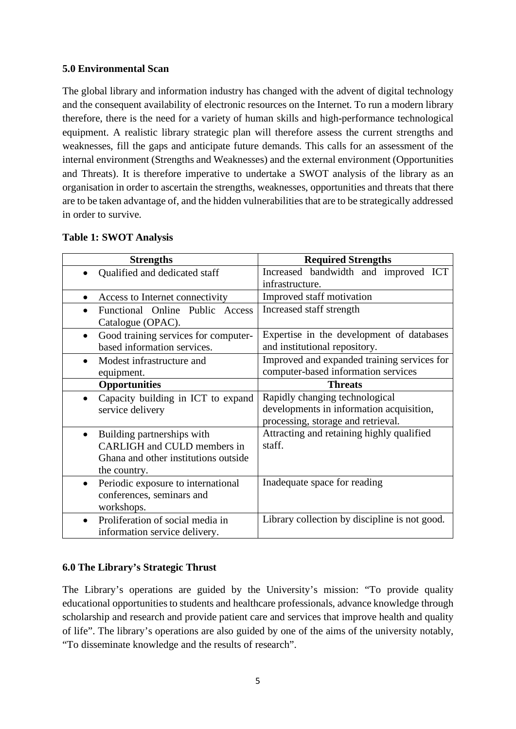#### **5.0 Environmental Scan**

The global library and information industry has changed with the advent of digital technology and the consequent availability of electronic resources on the Internet. To run a modern library therefore, there is the need for a variety of human skills and high-performance technological equipment. A realistic library strategic plan will therefore assess the current strengths and weaknesses, fill the gaps and anticipate future demands. This calls for an assessment of the internal environment (Strengths and Weaknesses) and the external environment (Opportunities and Threats). It is therefore imperative to undertake a SWOT analysis of the library as an organisation in order to ascertain the strengths, weaknesses, opportunities and threats that there are to be taken advantage of, and the hidden vulnerabilities that are to be strategically addressed in order to survive.

| <b>Strengths</b>                                                                                                               | <b>Required Strengths</b>                                                          |
|--------------------------------------------------------------------------------------------------------------------------------|------------------------------------------------------------------------------------|
| Qualified and dedicated staff                                                                                                  | Increased bandwidth and improved ICT<br>infrastructure.                            |
| Access to Internet connectivity                                                                                                | Improved staff motivation                                                          |
| Functional Online Public Access<br>Catalogue (OPAC).                                                                           | Increased staff strength                                                           |
| Good training services for computer-<br>$\bullet$<br>based information services.                                               | Expertise in the development of databases<br>and institutional repository.         |
| Modest infrastructure and<br>$\bullet$<br>equipment.                                                                           | Improved and expanded training services for<br>computer-based information services |
| <b>Opportunities</b>                                                                                                           | <b>Threats</b>                                                                     |
| Capacity building in ICT to expand<br>service delivery                                                                         | Rapidly changing technological<br>developments in information acquisition,         |
|                                                                                                                                | processing, storage and retrieval.                                                 |
| Building partnerships with<br>$\bullet$<br>CARLIGH and CULD members in<br>Ghana and other institutions outside<br>the country. | Attracting and retaining highly qualified<br>staff.                                |
| Periodic exposure to international<br>$\bullet$<br>conferences, seminars and<br>workshops.                                     | Inadequate space for reading                                                       |
| Proliferation of social media in<br>$\bullet$<br>information service delivery.                                                 | Library collection by discipline is not good.                                      |

#### **Table 1: SWOT Analysis**

#### **6.0 The Library's Strategic Thrust**

The Library's operations are guided by the University's mission: "To provide quality educational opportunities to students and healthcare professionals, advance knowledge through scholarship and research and provide patient care and services that improve health and quality of life". The library's operations are also guided by one of the aims of the university notably, "To disseminate knowledge and the results of research".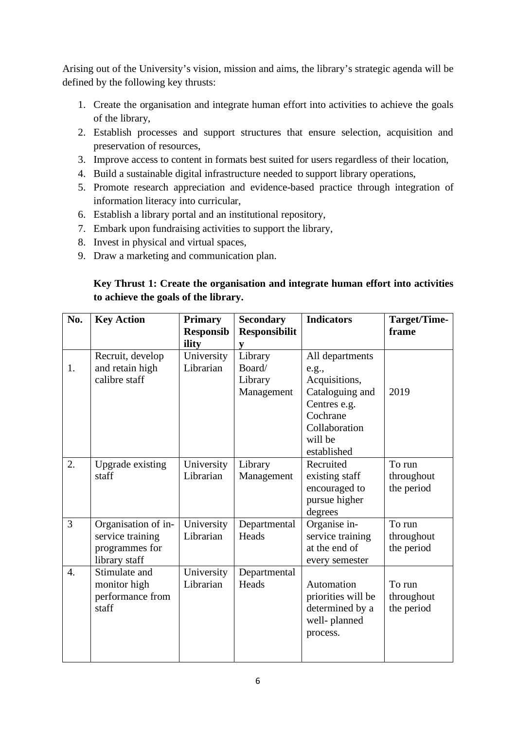Arising out of the University's vision, mission and aims, the library's strategic agenda will be defined by the following key thrusts:

- 1. Create the organisation and integrate human effort into activities to achieve the goals of the library,
- 2. Establish processes and support structures that ensure selection, acquisition and preservation of resources,
- 3. Improve access to content in formats best suited for users regardless of their location,
- 4. Build a sustainable digital infrastructure needed to support library operations,
- 5. Promote research appreciation and evidence-based practice through integration of information literacy into curricular,
- 6. Establish a library portal and an institutional repository,
- 7. Embark upon fundraising activities to support the library,
- 8. Invest in physical and virtual spaces,
- 9. Draw a marketing and communication plan.

## **Key Thrust 1: Create the organisation and integrate human effort into activities to achieve the goals of the library.**

| No. | <b>Key Action</b>                                                          | <b>Primary</b><br><b>Responsib</b><br>ility | <b>Secondary</b><br><b>Responsibilit</b><br>y | <b>Indicators</b>                                                                                                                   | Target/Time-<br>frame              |
|-----|----------------------------------------------------------------------------|---------------------------------------------|-----------------------------------------------|-------------------------------------------------------------------------------------------------------------------------------------|------------------------------------|
| 1.  | Recruit, develop<br>and retain high<br>calibre staff                       | University<br>Librarian                     | Library<br>Board/<br>Library<br>Management    | All departments<br>e.g.,<br>Acquisitions,<br>Cataloguing and<br>Centres e.g.<br>Cochrane<br>Collaboration<br>will be<br>established | 2019                               |
| 2.  | Upgrade existing<br>staff                                                  | University<br>Librarian                     | Library<br>Management                         | Recruited<br>existing staff<br>encouraged to<br>pursue higher<br>degrees                                                            | To run<br>throughout<br>the period |
| 3   | Organisation of in-<br>service training<br>programmes for<br>library staff | University<br>Librarian                     | Departmental<br>Heads                         | Organise in-<br>service training<br>at the end of<br>every semester                                                                 | To run<br>throughout<br>the period |
| 4.  | Stimulate and<br>monitor high<br>performance from<br>staff                 | University<br>Librarian                     | Departmental<br>Heads                         | Automation<br>priorities will be<br>determined by a<br>well-planned<br>process.                                                     | To run<br>throughout<br>the period |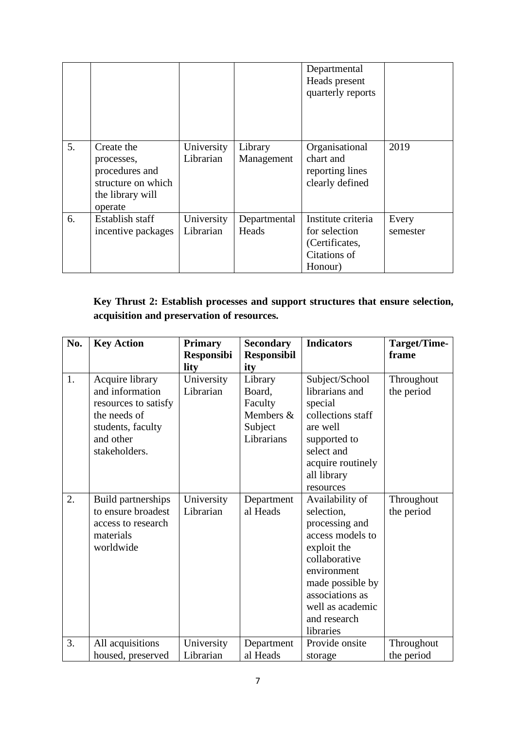|    |                                                                                                 |                         |                       | Departmental<br>Heads present<br>quarterly reports                               |                   |
|----|-------------------------------------------------------------------------------------------------|-------------------------|-----------------------|----------------------------------------------------------------------------------|-------------------|
| 5. | Create the<br>processes,<br>procedures and<br>structure on which<br>the library will<br>operate | University<br>Librarian | Library<br>Management | Organisational<br>chart and<br>reporting lines<br>clearly defined                | 2019              |
| 6. | Establish staff<br>incentive packages                                                           | University<br>Librarian | Departmental<br>Heads | Institute criteria<br>for selection<br>(Certificates,<br>Citations of<br>Honour) | Every<br>semester |

## **Key Thrust 2: Establish processes and support structures that ensure selection, acquisition and preservation of resources.**

| No. | <b>Key Action</b>                                                                                                             | <b>Primary</b><br><b>Responsibi</b> | <b>Secondary</b><br><b>Responsibil</b>                                    | <b>Indicators</b>                                                                                                                                                                                          | Target/Time-<br>frame    |
|-----|-------------------------------------------------------------------------------------------------------------------------------|-------------------------------------|---------------------------------------------------------------------------|------------------------------------------------------------------------------------------------------------------------------------------------------------------------------------------------------------|--------------------------|
| 1.  | Acquire library<br>and information<br>resources to satisfy<br>the needs of<br>students, faculty<br>and other<br>stakeholders. | lity<br>University<br>Librarian     | ity<br>Library<br>Board,<br>Faculty<br>Members &<br>Subject<br>Librarians | Subject/School<br>librarians and<br>special<br>collections staff<br>are well<br>supported to<br>select and<br>acquire routinely<br>all library<br>resources                                                | Throughout<br>the period |
| 2.  | Build partnerships<br>to ensure broadest<br>access to research<br>materials<br>worldwide                                      | University<br>Librarian             | Department<br>al Heads                                                    | Availability of<br>selection,<br>processing and<br>access models to<br>exploit the<br>collaborative<br>environment<br>made possible by<br>associations as<br>well as academic<br>and research<br>libraries | Throughout<br>the period |
| 3.  | All acquisitions<br>housed, preserved                                                                                         | University<br>Librarian             | Department<br>al Heads                                                    | Provide onsite<br>storage                                                                                                                                                                                  | Throughout<br>the period |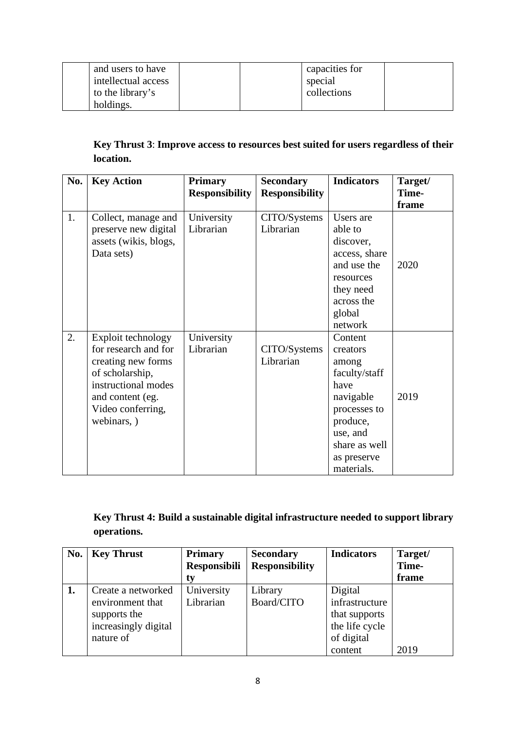| and users to have   | capacities for |
|---------------------|----------------|
| intellectual access | special        |
| to the library's    | collections    |
| holdings.           |                |

## **Key Thrust 3**: **Improve access to resources best suited for users regardless of their location.**

| No. | <b>Key Action</b>                                                                                                                                                  | <b>Primary</b><br><b>Responsibility</b> | <b>Secondary</b><br><b>Responsibility</b> | <b>Indicators</b>                                                                                                                                        | Target/<br>Time-<br>frame |
|-----|--------------------------------------------------------------------------------------------------------------------------------------------------------------------|-----------------------------------------|-------------------------------------------|----------------------------------------------------------------------------------------------------------------------------------------------------------|---------------------------|
| 1.  | Collect, manage and<br>preserve new digital<br>assets (wikis, blogs,<br>Data sets)                                                                                 | University<br>Librarian                 | CITO/Systems<br>Librarian                 | Users are<br>able to<br>discover,<br>access, share<br>and use the<br>resources<br>they need<br>across the<br>global<br>network                           | 2020                      |
| 2.  | Exploit technology<br>for research and for<br>creating new forms<br>of scholarship,<br>instructional modes<br>and content (eg.<br>Video conferring,<br>webinars, ) | University<br>Librarian                 | CITO/Systems<br>Librarian                 | Content<br>creators<br>among<br>faculty/staff<br>have<br>navigable<br>processes to<br>produce,<br>use, and<br>share as well<br>as preserve<br>materials. | 2019                      |

## **Key Thrust 4: Build a sustainable digital infrastructure needed to support library operations.**

| No. | <b>Key Thrust</b>    | <b>Primary</b>      | <b>Secondary</b>      | <b>Indicators</b> | Target/ |
|-----|----------------------|---------------------|-----------------------|-------------------|---------|
|     |                      | <b>Responsibili</b> | <b>Responsibility</b> |                   | Time-   |
|     |                      | t٧                  |                       |                   | frame   |
| 1.  | Create a networked   | University          | Library               | Digital           |         |
|     | environment that     | Librarian           | Board/CITO            | infrastructure    |         |
|     | supports the         |                     |                       | that supports     |         |
|     | increasingly digital |                     |                       | the life cycle    |         |
|     | nature of            |                     |                       | of digital        |         |
|     |                      |                     |                       | content           | 2019    |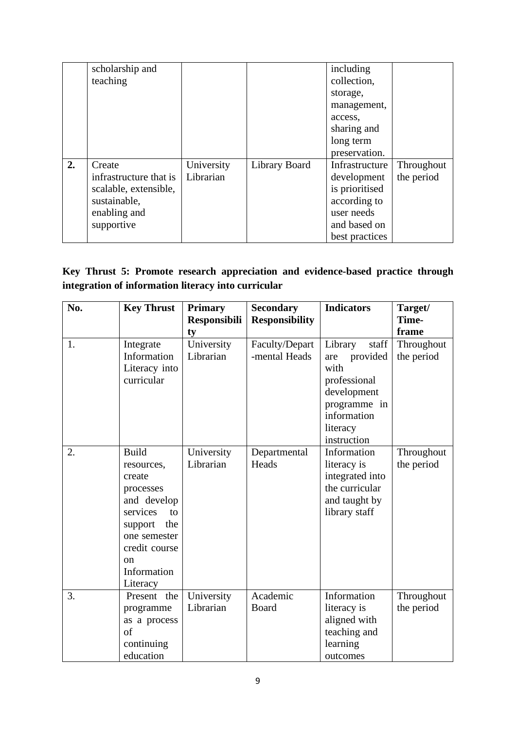|    | scholarship and        |            |               | including      |            |
|----|------------------------|------------|---------------|----------------|------------|
|    | teaching               |            |               | collection,    |            |
|    |                        |            |               | storage,       |            |
|    |                        |            |               | management,    |            |
|    |                        |            |               | access.        |            |
|    |                        |            |               | sharing and    |            |
|    |                        |            |               | long term      |            |
|    |                        |            |               | preservation.  |            |
| 2. | Create                 | University | Library Board | Infrastructure | Throughout |
|    | infrastructure that is | Librarian  |               | development    | the period |
|    | scalable, extensible,  |            |               | is prioritised |            |
|    | sustainable,           |            |               | according to   |            |
|    | enabling and           |            |               | user needs     |            |
|    | supportive             |            |               | and based on   |            |
|    |                        |            |               | best practices |            |

## **Key Thrust 5: Promote research appreciation and evidence-based practice through integration of information literacy into curricular**

| No. | <b>Key Thrust</b> | <b>Primary</b>      | <b>Secondary</b>      | <b>Indicators</b> | Target/    |
|-----|-------------------|---------------------|-----------------------|-------------------|------------|
|     |                   | <b>Responsibili</b> | <b>Responsibility</b> |                   | Time-      |
|     |                   | ty                  |                       |                   | frame      |
| 1.  | Integrate         | University          | Faculty/Depart        | staff<br>Library  | Throughout |
|     | Information       | Librarian           | -mental Heads         | provided<br>are   | the period |
|     | Literacy into     |                     |                       | with              |            |
|     | curricular        |                     |                       | professional      |            |
|     |                   |                     |                       | development       |            |
|     |                   |                     |                       | programme in      |            |
|     |                   |                     |                       | information       |            |
|     |                   |                     |                       | literacy          |            |
|     |                   |                     |                       | instruction       |            |
| 2.  | <b>Build</b>      | University          | Departmental          | Information       | Throughout |
|     | resources,        | Librarian           | Heads                 | literacy is       | the period |
|     | create            |                     |                       | integrated into   |            |
|     | processes         |                     |                       | the curricular    |            |
|     | and develop       |                     |                       | and taught by     |            |
|     | services<br>to    |                     |                       | library staff     |            |
|     | the<br>support    |                     |                       |                   |            |
|     | one semester      |                     |                       |                   |            |
|     | credit course     |                     |                       |                   |            |
|     | <sub>on</sub>     |                     |                       |                   |            |
|     | Information       |                     |                       |                   |            |
|     | Literacy          |                     |                       |                   |            |
| 3.  | Present<br>the    | University          | Academic              | Information       | Throughout |
|     | programme         | Librarian           | Board                 | literacy is       | the period |
|     | as a process      |                     |                       | aligned with      |            |
|     | of                |                     |                       | teaching and      |            |
|     | continuing        |                     |                       | learning          |            |
|     | education         |                     |                       | outcomes          |            |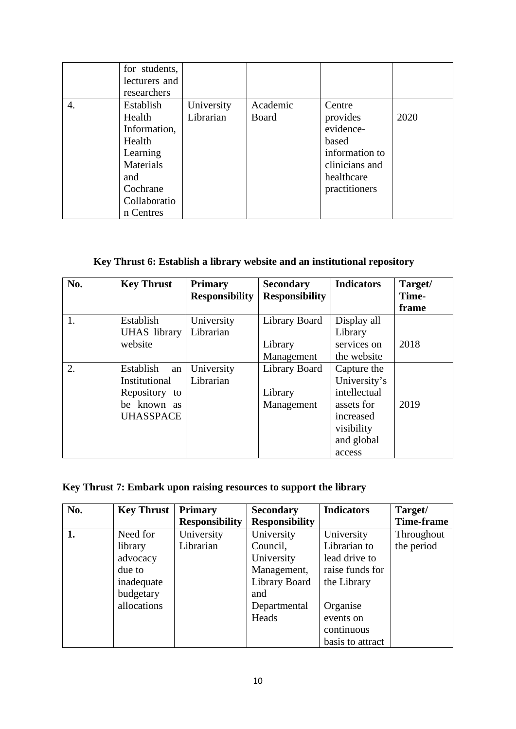|    | for students,<br>lecturers and<br>researchers                                                                          |                         |                   |                                                                                                             |      |
|----|------------------------------------------------------------------------------------------------------------------------|-------------------------|-------------------|-------------------------------------------------------------------------------------------------------------|------|
| 4. | Establish<br>Health<br>Information,<br>Health<br>Learning<br>Materials<br>and<br>Cochrane<br>Collaboratio<br>n Centres | University<br>Librarian | Academic<br>Board | Centre<br>provides<br>evidence-<br>based<br>information to<br>clinicians and<br>healthcare<br>practitioners | 2020 |

## **Key Thrust 6: Establish a library website and an institutional repository**

| No. | <b>Key Thrust</b>   | <b>Primary</b>        | <b>Secondary</b>      | <b>Indicators</b> | Target/ |
|-----|---------------------|-----------------------|-----------------------|-------------------|---------|
|     |                     | <b>Responsibility</b> | <b>Responsibility</b> |                   | Time-   |
|     |                     |                       |                       |                   | frame   |
| 1.  | Establish           | University            | Library Board         | Display all       |         |
|     | <b>UHAS</b> library | Librarian             |                       | Library           |         |
|     | website             |                       | Library               | services on       | 2018    |
|     |                     |                       | Management            | the website       |         |
| 2.  | Establish<br>an     | University            | Library Board         | Capture the       |         |
|     | Institutional       | Librarian             |                       | University's      |         |
|     | Repository to       |                       | Library               | intellectual      |         |
|     | be known as         |                       | Management            | assets for        | 2019    |
|     | <b>UHASSPACE</b>    |                       |                       | increased         |         |
|     |                     |                       |                       | visibility        |         |
|     |                     |                       |                       | and global        |         |
|     |                     |                       |                       | access            |         |

## **Key Thrust 7: Embark upon raising resources to support the library**

| No. | <b>Key Thrust</b> | <b>Primary</b>        | <b>Secondary</b>      | <b>Indicators</b> | Target/           |
|-----|-------------------|-----------------------|-----------------------|-------------------|-------------------|
|     |                   | <b>Responsibility</b> | <b>Responsibility</b> |                   | <b>Time-frame</b> |
| 1.  | Need for          | University            | University            | University        | Throughout        |
|     | library           | Librarian             | Council,              | Librarian to      | the period        |
|     | advocacy          |                       | University            | lead drive to     |                   |
|     | due to            |                       | Management,           | raise funds for   |                   |
|     | inadequate        |                       | Library Board         | the Library       |                   |
|     | budgetary         |                       | and                   |                   |                   |
|     | allocations       |                       | Departmental          | Organise          |                   |
|     |                   |                       | Heads                 | events on         |                   |
|     |                   |                       |                       | continuous        |                   |
|     |                   |                       |                       | basis to attract  |                   |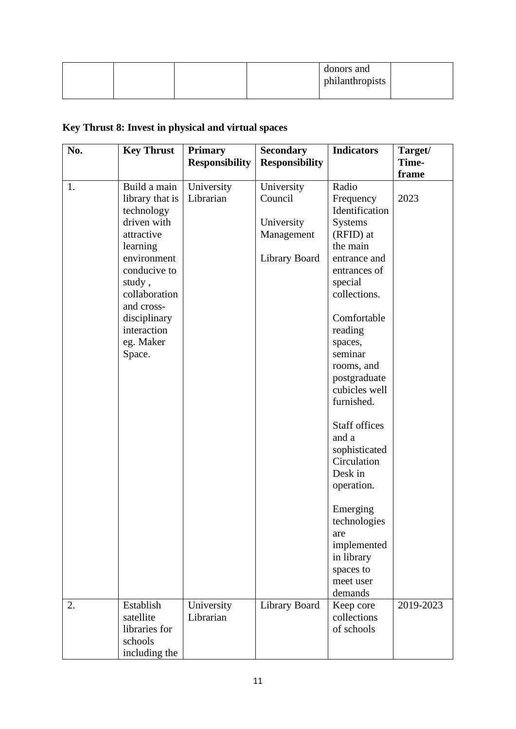|  |  |  | donors and<br>philanthropists |  |
|--|--|--|-------------------------------|--|
|--|--|--|-------------------------------|--|

# **Key Thrust 8: Invest in physical and virtual spaces**

| No. | <b>Key Thrust</b>                                                                                                                                                                                                    | <b>Primary</b>          | <b>Secondary</b>                                                   | <b>Indicators</b>                                                                                                                                                                                                                                       | Target/<br>Time- |
|-----|----------------------------------------------------------------------------------------------------------------------------------------------------------------------------------------------------------------------|-------------------------|--------------------------------------------------------------------|---------------------------------------------------------------------------------------------------------------------------------------------------------------------------------------------------------------------------------------------------------|------------------|
|     |                                                                                                                                                                                                                      | <b>Responsibility</b>   | <b>Responsibility</b>                                              |                                                                                                                                                                                                                                                         |                  |
| 1.  | Build a main<br>library that is<br>technology<br>driven with<br>attractive<br>learning<br>environment<br>conducive to<br>study,<br>collaboration<br>and cross-<br>disciplinary<br>interaction<br>eg. Maker<br>Space. | University<br>Librarian | University<br>Council<br>University<br>Management<br>Library Board | Radio<br>Frequency<br>Identification<br><b>Systems</b><br>(RFID) at<br>the main<br>entrance and<br>entrances of<br>special<br>collections.<br>Comfortable<br>reading<br>spaces,<br>seminar<br>rooms, and<br>postgraduate<br>cubicles well<br>furnished. | frame<br>2023    |
|     |                                                                                                                                                                                                                      |                         |                                                                    | <b>Staff offices</b><br>and a<br>sophisticated<br>Circulation<br>Desk in<br>operation.<br>Emerging<br>technologies<br>are<br>implemented<br>in library<br>spaces to<br>meet user<br>demands                                                             |                  |
| 2.  | Establish<br>satellite<br>libraries for<br>schools<br>including the                                                                                                                                                  | University<br>Librarian | Library Board                                                      | Keep core<br>collections<br>of schools                                                                                                                                                                                                                  | 2019-2023        |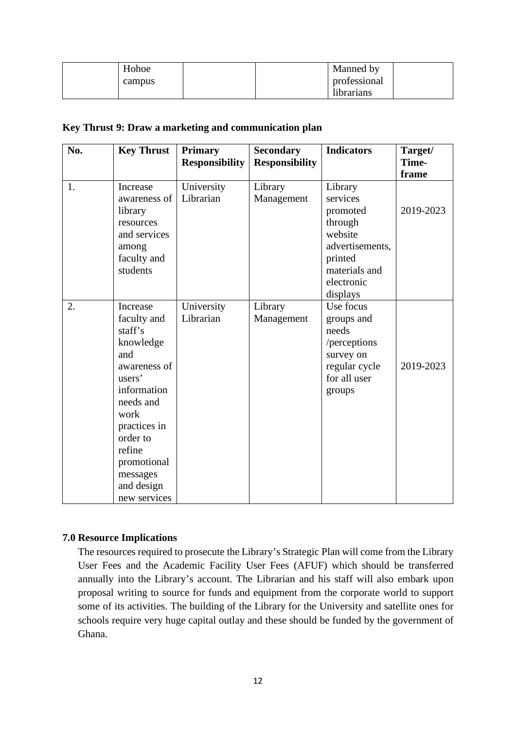| Hohoe  | Manned by    |
|--------|--------------|
| campus | professional |
|        | librarians   |

#### **Key Thrust 9: Draw a marketing and communication plan**

| No. | <b>Key Thrust</b>                                                                                                                                                                                                   | <b>Primary</b><br><b>Responsibility</b> | <b>Secondary</b><br><b>Responsibility</b> | <b>Indicators</b>                                                                                                              | Target/<br>Time-<br>frame |
|-----|---------------------------------------------------------------------------------------------------------------------------------------------------------------------------------------------------------------------|-----------------------------------------|-------------------------------------------|--------------------------------------------------------------------------------------------------------------------------------|---------------------------|
| 1.  | Increase<br>awareness of<br>library<br>resources<br>and services<br>among<br>faculty and<br>students                                                                                                                | University<br>Librarian                 | Library<br>Management                     | Library<br>services<br>promoted<br>through<br>website<br>advertisements,<br>printed<br>materials and<br>electronic<br>displays | 2019-2023                 |
| 2.  | Increase<br>faculty and<br>staff's<br>knowledge<br>and<br>awareness of<br>users'<br>information<br>needs and<br>work<br>practices in<br>order to<br>refine<br>promotional<br>messages<br>and design<br>new services | University<br>Librarian                 | Library<br>Management                     | Use focus<br>groups and<br>needs<br>/perceptions<br>survey on<br>regular cycle<br>for all user<br>groups                       | 2019-2023                 |

#### **7.0 Resource Implications**

The resources required to prosecute the Library's Strategic Plan will come from the Library User Fees and the Academic Facility User Fees (AFUF) which should be transferred annually into the Library's account. The Librarian and his staff will also embark upon proposal writing to source for funds and equipment from the corporate world to support some of its activities. The building of the Library for the University and satellite ones for schools require very huge capital outlay and these should be funded by the government of Ghana.